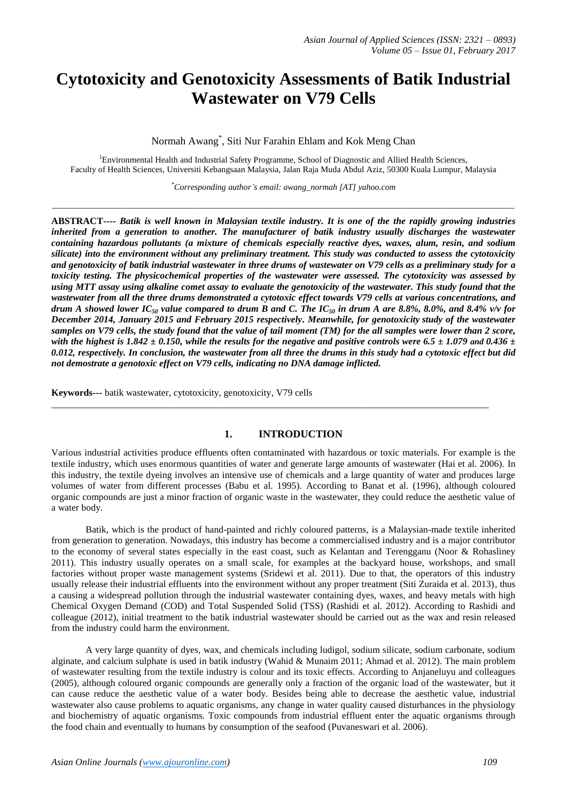# **Cytotoxicity and Genotoxicity Assessments of Batik Industrial Wastewater on V79 Cells**

Normah Awang\* , Siti Nur Farahin Ehlam and Kok Meng Chan

<sup>1</sup>Environmental Health and Industrial Safety Programme, School of Diagnostic and Allied Health Sciences, Faculty of Health Sciences, Universiti Kebangsaan Malaysia, Jalan Raja Muda Abdul Aziz, 50300 Kuala Lumpur, Malaysia

*\*Corresponding author's email: awang\_normah [AT] yahoo.com* \_\_\_\_\_\_\_\_\_\_\_\_\_\_\_\_\_\_\_\_\_\_\_\_\_\_\_\_\_\_\_\_\_\_\_\_\_\_\_\_\_\_\_\_\_\_\_\_\_\_\_\_\_\_\_\_\_\_\_\_\_\_\_\_\_\_\_\_\_\_\_\_\_\_\_\_\_\_\_\_\_\_\_\_\_\_\_\_\_\_\_\_\_\_\_\_\_\_\_\_\_\_\_\_\_\_\_\_

**ABSTRACT----** *Batik is well known in Malaysian textile industry. It is one of the the rapidly growing industries inherited from a generation to another. The manufacturer of batik industry usually discharges the wastewater containing hazardous pollutants (a mixture of chemicals especially reactive dyes, waxes, alum, resin, and sodium silicate) into the environment without any preliminary treatment. This study was conducted to assess the cytotoxicity and genotoxicity of batik industrial wastewater in three drums of wastewater on V79 cells as a preliminary study for a toxicity testing. The physicochemical properties of the wastewater were assessed. The cytotoxicity was assessed by using MTT assay using alkaline comet assay to evaluate the genotoxicity of the wastewater. This study found that the wastewater from all the three drums demonstrated a cytotoxic effect towards V79 cells at various concentrations, and drum A showed lower IC*<sub>50</sub> value compared to drum B and C. The IC<sub>50</sub> in drum A are 8.8%, 8.0%, and 8.4% v/v for *December 2014, January 2015 and February 2015 respectively. Meanwhile, for genotoxicity study of the wastewater samples on V79 cells, the study found that the value of tail moment (TM) for the all samples were lower than 2 score, with the highest is*  $1.842 \pm 0.150$ , *while the results for the negative and positive controls were*  $6.5 \pm 1.079$  *and*  $0.436 \pm 1.079$ *0.012, respectively. In conclusion, the wastewater from all three the drums in this study had a cytotoxic effect but did not demostrate a genotoxic effect on V79 cells, indicating no DNA damage inflicted.* 

**Keywords---** batik wastewater, cytotoxicity, genotoxicity, V79 cells

## **1. INTRODUCTION**

\_\_\_\_\_\_\_\_\_\_\_\_\_\_\_\_\_\_\_\_\_\_\_\_\_\_\_\_\_\_\_\_\_\_\_\_\_\_\_\_\_\_\_\_\_\_\_\_\_\_\_\_\_\_\_\_\_\_\_\_\_\_\_\_\_\_\_\_\_\_\_\_\_\_\_\_\_\_\_\_\_\_\_\_\_\_\_\_\_\_\_\_

Various industrial activities produce effluents often contaminated with hazardous or toxic materials. For example is the textile industry, which uses enormous quantities of water and generate large amounts of wastewater (Hai et al. 2006). In this industry, the textile dyeing involves an intensive use of chemicals and a large quantity of water and produces large volumes of water from different processes (Babu et al. 1995). According to Banat et al. (1996), although coloured organic compounds are just a minor fraction of organic waste in the wastewater, they could reduce the aesthetic value of a water body.

Batik, which is the product of hand-painted and richly coloured patterns, is a Malaysian-made textile inherited from generation to generation. Nowadays, this industry has become a commercialised industry and is a major contributor to the economy of several states especially in the east coast, such as Kelantan and Terengganu (Noor & Rohasliney 2011). This industry usually operates on a small scale, for examples at the backyard house, workshops, and small factories without proper waste management systems (Sridewi et al. 2011). Due to that, the operators of this industry usually release their industrial effluents into the environment without any proper treatment (Siti Zuraida et al. 2013), thus a causing a widespread pollution through the industrial wastewater containing dyes, waxes, and heavy metals with high Chemical Oxygen Demand (COD) and Total Suspended Solid (TSS) (Rashidi et al. 2012). According to Rashidi and colleague (2012), initial treatment to the batik industrial wastewater should be carried out as the wax and resin released from the industry could harm the environment.

A very large quantity of dyes, wax, and chemicals including ludigol, sodium silicate, sodium carbonate, sodium alginate, and calcium sulphate is used in batik industry (Wahid & Munaim 2011; Ahmad et al. 2012). The main problem of wastewater resulting from the textile industry is colour and its toxic effects. According to Anjaneluyu and colleagues (2005), although coloured organic compounds are generally only a fraction of the organic load of the wastewater, but it can cause reduce the aesthetic value of a water body. Besides being able to decrease the aesthetic value, industrial wastewater also cause problems to aquatic organisms, any change in water quality caused disturbances in the physiology and biochemistry of aquatic organisms. Toxic compounds from industrial effluent enter the aquatic organisms through the food chain and eventually to humans by consumption of the seafood (Puvaneswari et al. 2006).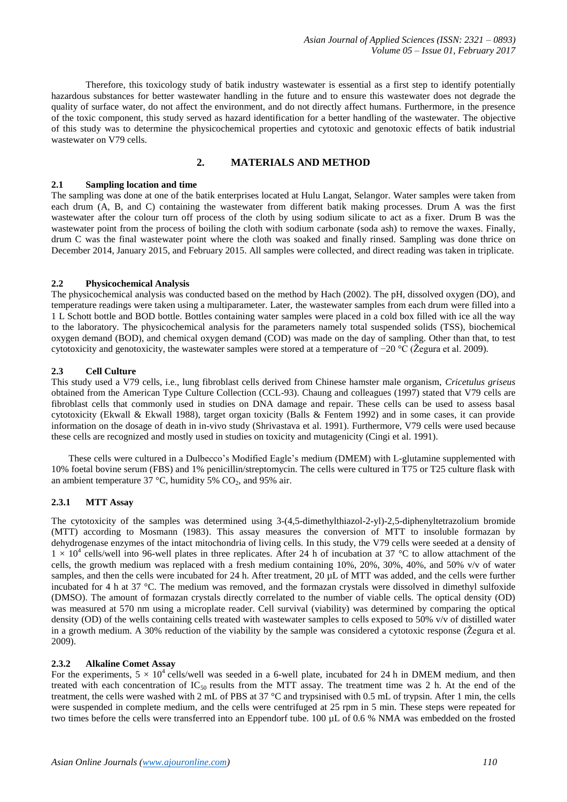Therefore, this toxicology study of batik industry wastewater is essential as a first step to identify potentially hazardous substances for better wastewater handling in the future and to ensure this wastewater does not degrade the quality of surface water, do not affect the environment, and do not directly affect humans. Furthermore, in the presence of the toxic component, this study served as hazard identification for a better handling of the wastewater. The objective of this study was to determine the physicochemical properties and cytotoxic and genotoxic effects of batik industrial wastewater on V79 cells.

# **2. MATERIALS AND METHOD**

### **2.1 Sampling location and time**

The sampling was done at one of the batik enterprises located at Hulu Langat, Selangor. Water samples were taken from each drum (A, B, and C) containing the wastewater from different batik making processes. Drum A was the first wastewater after the colour turn off process of the cloth by using sodium silicate to act as a fixer. Drum B was the wastewater point from the process of boiling the cloth with sodium carbonate (soda ash) to remove the waxes. Finally, drum C was the final wastewater point where the cloth was soaked and finally rinsed. Sampling was done thrice on December 2014, January 2015, and February 2015. All samples were collected, and direct reading was taken in triplicate.

## **2.2 Physicochemical Analysis**

The physicochemical analysis was conducted based on the method by Hach (2002). The pH, dissolved oxygen (DO), and temperature readings were taken using a multiparameter. Later, the wastewater samples from each drum were filled into a 1 L Schott bottle and BOD bottle. Bottles containing water samples were placed in a cold box filled with ice all the way to the laboratory. The physicochemical analysis for the parameters namely total suspended solids (TSS), biochemical oxygen demand (BOD), and chemical oxygen demand (COD) was made on the day of sampling. Other than that, to test cytotoxicity and genotoxicity, the wastewater samples were stored at a temperature of −20 °C (Žegura et al. 2009).

#### **2.3 Cell Culture**

This study used a V79 cells, i.e., lung fibroblast cells derived from Chinese hamster male organism, *Cricetulus griseus* obtained from the American Type Culture Collection (CCL-93). Chaung and colleagues (1997) stated that V79 cells are fibroblast cells that commonly used in studies on DNA damage and repair. These cells can be used to assess basal cytotoxicity (Ekwall & Ekwall 1988), target organ toxicity (Balls & Fentem 1992) and in some cases, it can provide information on the dosage of death in in-vivo study (Shrivastava et al. 1991). Furthermore, V79 cells were used because these cells are recognized and mostly used in studies on toxicity and mutagenicity (Cingi et al. 1991).

These cells were cultured in a Dulbecco's Modified Eagle's medium (DMEM) with L-glutamine supplemented with 10% foetal bovine serum (FBS) and 1% penicillin/streptomycin. The cells were cultured in T75 or T25 culture flask with an ambient temperature 37 °C, humidity 5%  $CO<sub>2</sub>$ , and 95% air.

## **2.3.1 MTT Assay**

The cytotoxicity of the samples was determined using 3-(4,5-dimethylthiazol-2-yl)-2,5-diphenyltetrazolium bromide (MTT) according to Mosmann (1983). This assay measures the conversion of MTT to insoluble formazan by dehydrogenase enzymes of the intact mitochondria of living cells. In this study, the V79 cells were seeded at a density of  $1 \times 10^4$  cells/well into 96-well plates in three replicates. After 24 h of incubation at 37 °C to allow attachment of the cells, the growth medium was replaced with a fresh medium containing 10%, 20%, 30%, 40%, and 50% v/v of water samples, and then the cells were incubated for 24 h. After treatment, 20 µL of MTT was added, and the cells were further incubated for 4 h at 37 °C. The medium was removed, and the formazan crystals were dissolved in dimethyl sulfoxide (DMSO). The amount of formazan crystals directly correlated to the number of viable cells. The optical density (OD) was measured at 570 nm using a microplate reader. Cell survival (viability) was determined by comparing the optical density (OD) of the wells containing cells treated with wastewater samples to cells exposed to 50% v/v of distilled water in a growth medium. A 30% reduction of the viability by the sample was considered a cytotoxic response [\(Žegura et al.](#page-8-0)  [2009\)](#page-8-0).

## **2.3.2 Alkaline Comet Assay**

For the experiments,  $5 \times 10^4$  cells/well was seeded in a 6-well plate, incubated for 24 h in DMEM medium, and then treated with each concentration of  $IC_{50}$  results from the MTT assay. The treatment time was 2 h. At the end of the treatment, the cells were washed with 2 mL of PBS at 37 °C and trypsinised with 0.5 mL of trypsin. After 1 min, the cells were suspended in complete medium, and the cells were centrifuged at 25 rpm in 5 min. These steps were repeated for two times before the cells were transferred into an Eppendorf tube. 100 µL of 0.6 % NMA was embedded on the frosted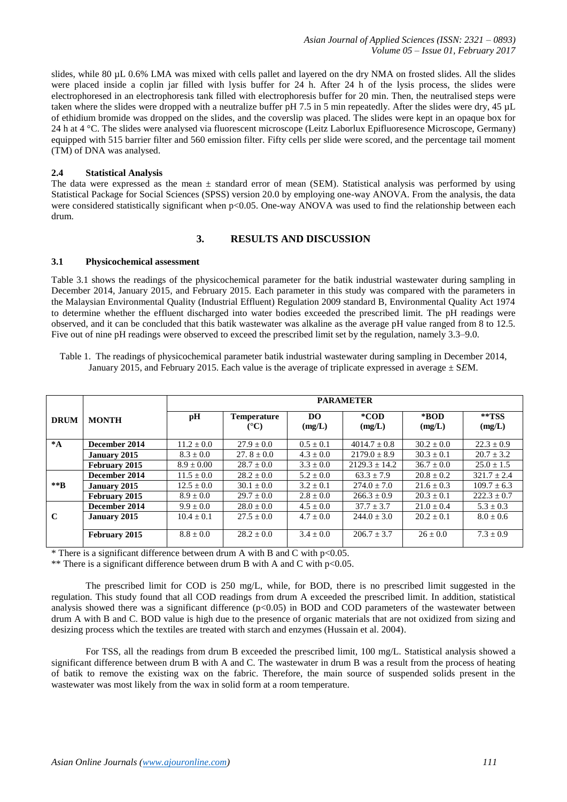slides, while 80 µL 0.6% LMA was mixed with cells pallet and layered on the dry NMA on frosted slides. All the slides were placed inside a coplin jar filled with lysis buffer for 24 h. After 24 h of the lysis process, the slides were electrophoresed in an electrophoresis tank filled with electrophoresis buffer for 20 min. Then, the neutralised steps were taken where the slides were dropped with a neutralize buffer pH 7.5 in 5 min repeatedly. After the slides were dry, 45 µL of ethidium bromide was dropped on the slides, and the coverslip was placed. The slides were kept in an opaque box for 24 h at 4 °C. The slides were analysed via fluorescent microscope (Leitz Laborlux Epifluoresence Microscope, Germany) equipped with 515 barrier filter and 560 emission filter. Fifty cells per slide were scored, and the percentage tail moment (TM) of DNA was analysed.

#### **2.4 Statistical Analysis**

The data were expressed as the mean  $\pm$  standard error of mean (SEM). Statistical analysis was performed by using Statistical Package for Social Sciences (SPSS) version 20.0 by employing one-way ANOVA. From the analysis, the data were considered statistically significant when p<0.05. One-way ANOVA was used to find the relationship between each drum.

## **3. RESULTS AND DISCUSSION**

#### **3.1 Physicochemical assessment**

Table 3.1 shows the readings of the physicochemical parameter for the batik industrial wastewater during sampling in December 2014, January 2015, and February 2015. Each parameter in this study was compared with the parameters in the Malaysian Environmental Quality (Industrial Effluent) Regulation 2009 standard B, Environmental Quality Act 1974 to determine whether the effluent discharged into water bodies exceeded the prescribed limit. The pH readings were observed, and it can be concluded that this batik wastewater was alkaline as the average pH value ranged from 8 to 12.5. Five out of nine pH readings were observed to exceed the prescribed limit set by the regulation, namely 3.3–9.0.

Table 1. The readings of physicochemical parameter batik industrial wastewater during sampling in December 2014, January 2015, and February 2015. Each value is the average of triplicate expressed in average ± S*E*M.

|             |               | <b>PARAMETER</b> |                                     |               |                   |                |                 |  |
|-------------|---------------|------------------|-------------------------------------|---------------|-------------------|----------------|-----------------|--|
| <b>DRUM</b> | <b>MONTH</b>  | pН               | <b>Temperature</b><br>$(^{\circ}C)$ | DO.<br>(mg/L) | *COD<br>(mg/L)    | *BOD<br>(mg/L) | **TSS<br>(mg/L) |  |
| $^*A$       | December 2014 | $11.2 \pm 0.0$   | $27.9 \pm 0.0$                      | $0.5 \pm 0.1$ | $4014.7 \pm 0.8$  | $30.2 \pm 0.0$ | $22.3 \pm 0.9$  |  |
|             | January 2015  | $8.3 \pm 0.0$    | 27. $8 \pm 0.0$                     | $4.3 \pm 0.0$ | $2179.0 \pm 8.9$  | $30.3 \pm 0.1$ | $20.7 \pm 3.2$  |  |
|             | February 2015 | $8.9 \pm 0.00$   | $28.7 \pm 0.0$                      | $3.3 \pm 0.0$ | $2129.3 \pm 14.2$ | $36.7 \pm 0.0$ | $25.0 \pm 1.5$  |  |
| $**R$       | December 2014 | $11.5 \pm 0.0$   | $28.2 \pm 0.0$                      | $5.2 \pm 0.0$ | $63.3 \pm 7.9$    | $20.8 \pm 0.2$ | $321.7 \pm 2.4$ |  |
|             | January 2015  | $12.5 \pm 0.0$   | $30.1 \pm 0.0$                      | $3.2 \pm 0.1$ | $274.0 \pm 7.0$   | $21.6 \pm 0.3$ | $109.7 \pm 6.3$ |  |
|             | February 2015 | $8.9 \pm 0.0$    | $29.7 + 0.0$                        | $2.8 \pm 0.0$ | $266.3 + 0.9$     | $20.3 + 0.1$   | $222.3 + 0.7$   |  |
|             | December 2014 | $9.9 \pm 0.0$    | $28.0 \pm 0.0$                      | $4.5 \pm 0.0$ | $37.7 \pm 3.7$    | $21.0 \pm 0.4$ | $5.3 \pm 0.3$   |  |
| $\mathbf C$ | January 2015  | $10.4 \pm 0.1$   | $27.5 + 0.0$                        | $4.7 + 0.0$   | $244.0 + 3.0$     | $20.2 + 0.1$   | $8.0 \pm 0.6$   |  |
|             | February 2015 | $8.8 \pm 0.0$    | $28.2 \pm 0.0$                      | $3.4 \pm 0.0$ | $206.7 \pm 3.7$   | $26 \pm 0.0$   | $7.3 \pm 0.9$   |  |

\* There is a significant difference between drum A with B and C with  $p<0.05$ .

\*\* There is a significant difference between drum B with A and C with  $p<0.05$ .

The prescribed limit for COD is 250 mg/L, while, for BOD, there is no prescribed limit suggested in the regulation. This study found that all COD readings from drum A exceeded the prescribed limit. In addition, statistical analysis showed there was a significant difference  $(p<0.05)$  in BOD and COD parameters of the wastewater between drum A with B and C. BOD value is high due to the presence of organic materials that are not oxidized from sizing and desizing process which the textiles are treated with starch and enzymes (Hussain et al. 2004).

For TSS, all the readings from drum B exceeded the prescribed limit, 100 mg/L. Statistical analysis showed a significant difference between drum B with A and C. The wastewater in drum B was a result from the process of heating of batik to remove the existing wax on the fabric. Therefore, the main source of suspended solids present in the wastewater was most likely from the wax in solid form at a room temperature.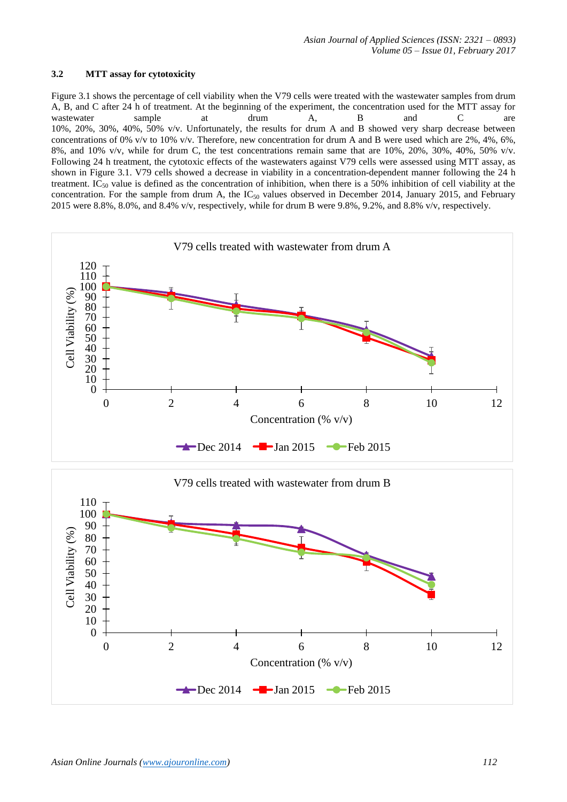#### **3.2 MTT assay for cytotoxicity**

Figure 3.1 shows the percentage of cell viability when the V79 cells were treated with the wastewater samples from drum A, B, and C after 24 h of treatment. At the beginning of the experiment, the concentration used for the MTT assay for wastewater sample at drum A, B and C are 10%, 20%, 30%, 40%, 50% v/v. Unfortunately, the results for drum A and B showed very sharp decrease between concentrations of 0% v/v to 10% v/v. Therefore, new concentration for drum A and B were used which are 2%, 4%, 6%, 8%, and 10% v/v, while for drum C, the test concentrations remain same that are 10%, 20%, 30%, 40%, 50% v/v. Following 24 h treatment, the cytotoxic effects of the wastewaters against V79 cells were assessed using MTT assay, as shown in Figure 3.1. V79 cells showed a decrease in viability in a concentration-dependent manner following the 24 h treatment. IC<sub>50</sub> value is defined as the concentration of inhibition, when there is a 50% inhibition of cell viability at the concentration. For the sample from drum A, the  $IC_{50}$  values observed in December 2014, January 2015, and February 2015 were 8.8%, 8.0%, and 8.4% v/v, respectively, while for drum B were 9.8%, 9.2%, and 8.8% v/v, respectively.

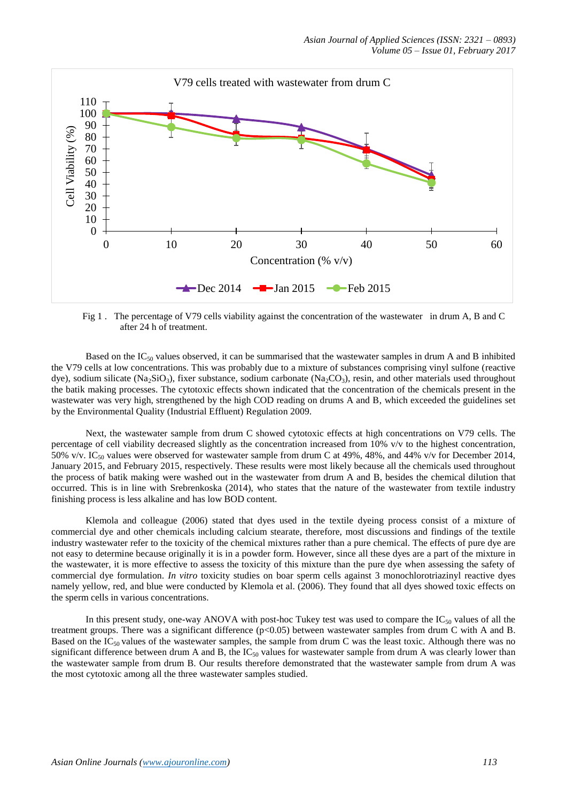

Fig 1 . The percentage of V79 cells viability against the concentration of the wastewater in drum A, B and C after 24 h of treatment.

Based on the  $IC_{50}$  values observed, it can be summarised that the wastewater samples in drum A and B inhibited the V79 cells at low concentrations. This was probably due to a mixture of substances comprising vinyl sulfone (reactive dye), sodium silicate (Na<sub>2</sub>SiO<sub>3</sub>), fixer substance, sodium carbonate (Na<sub>2</sub>CO<sub>3</sub>), resin, and other materials used throughout the batik making processes. The cytotoxic effects shown indicated that the concentration of the chemicals present in the wastewater was very high, strengthened by the high COD reading on drums A and B, which exceeded the guidelines set by the Environmental Quality (Industrial Effluent) Regulation 2009.

Next, the wastewater sample from drum C showed cytotoxic effects at high concentrations on V79 cells. The percentage of cell viability decreased slightly as the concentration increased from 10% v/v to the highest concentration, 50% v/v. IC<sub>50</sub> values were observed for wastewater sample from drum C at 49%, 48%, and 44% v/v for December 2014, January 2015, and February 2015, respectively. These results were most likely because all the chemicals used throughout the process of batik making were washed out in the wastewater from drum A and B, besides the chemical dilution that occurred. This is in line with Srebrenkoska (2014), who states that the nature of the wastewater from textile industry finishing process is less alkaline and has low BOD content.

Klemola and colleague (2006) stated that dyes used in the textile dyeing process consist of a mixture of commercial dye and other chemicals including calcium stearate, therefore, most discussions and findings of the textile industry wastewater refer to the toxicity of the chemical mixtures rather than a pure chemical. The effects of pure dye are not easy to determine because originally it is in a powder form. However, since all these dyes are a part of the mixture in the wastewater, it is more effective to assess the toxicity of this mixture than the pure dye when assessing the safety of commercial dye formulation. *In vitro* toxicity studies on boar sperm cells against 3 monochlorotriazinyl reactive dyes namely yellow, red, and blue were conducted by Klemola et al. (2006). They found that all dyes showed toxic effects on the sperm cells in various concentrations.

In this present study, one-way ANOVA with post-hoc Tukey test was used to compare the  $IC_{50}$  values of all the treatment groups. There was a significant difference (p<0.05) between wastewater samples from drum C with A and B. Based on the  $IC_{50}$  values of the wastewater samples, the sample from drum C was the least toxic. Although there was no significant difference between drum A and B, the  $IC_{50}$  values for wastewater sample from drum A was clearly lower than the wastewater sample from drum B. Our results therefore demonstrated that the wastewater sample from drum A was the most cytotoxic among all the three wastewater samples studied.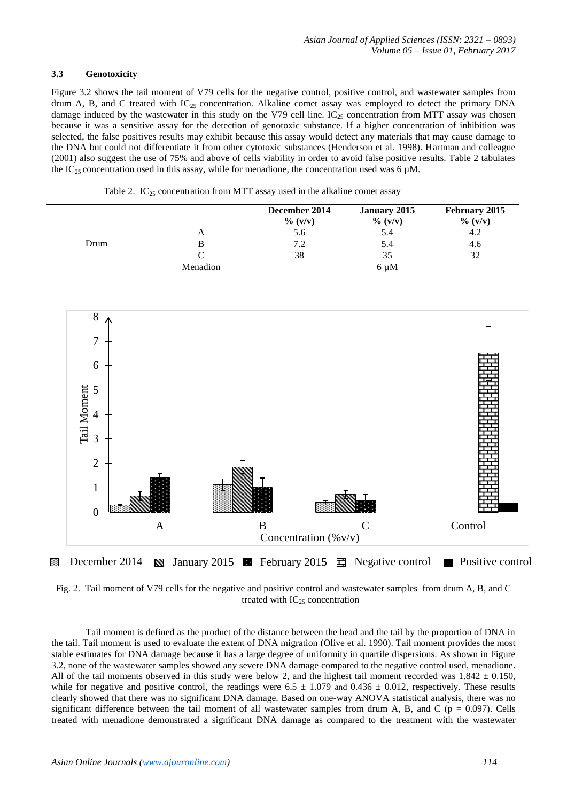## **3.3 Genotoxicity**

Figure 3.2 shows the tail moment of V79 cells for the negative control, positive control, and wastewater samples from drum A, B, and C treated with  $IC_{25}$  concentration. Alkaline comet assay was employed to detect the primary DNA damage induced by the wastewater in this study on the V79 cell line.  $IC_{25}$  concentration from MTT assay was chosen because it was a sensitive assay for the detection of genotoxic substance. If a higher concentration of inhibition was selected, the false positives results may exhibit because this assay would detect any materials that may cause damage to the DNA but could not differentiate it from other cytotoxic substances (Henderson et al. 1998). Hartman and colleague (2001) also suggest the use of 75% and above of cells viability in order to avoid false positive results. Table 2 tabulates the IC<sub>25</sub> concentration used in this assay, while for menadione, the concentration used was 6  $\mu$ M.

|      |          | December 2014<br>$\% (v/v)$ | <b>January 2015</b><br>$\% (v/v)$ | February 2015<br>$\% (v/v)$ |
|------|----------|-----------------------------|-----------------------------------|-----------------------------|
|      | A        | 5.0                         | D.4                               | т.∠                         |
| Drum |          |                             | D.4                               |                             |
|      |          | 38                          |                                   |                             |
|      | Menadion |                             | 6 uM                              |                             |





Fig. 2. Tail moment of V79 cells for the negative and positive control and wastewater samples from drum A, B, and C treated with  $IC_{25}$  concentration

Tail moment is defined as the product of the distance between the head and the tail by the proportion of DNA in the tail. Tail moment is used to evaluate the extent of DNA migration [\(Olive et al. 1990\)](#page-7-0). Tail moment provides the most stable estimates for DNA damage because it has a large degree of uniformity in quartile dispersions. As shown in Figure 3.2, none of the wastewater samples showed any severe DNA damage compared to the negative control used, menadione. All of the tail moments observed in this study were below 2, and the highest tail moment recorded was  $1.842 \pm 0.150$ , while for negative and positive control, the readings were  $6.5 \pm 1.079$  and  $0.436 \pm 0.012$ , respectively. These results clearly showed that there was no significant DNA damage. Based on one-way ANOVA statistical analysis, there was no significant difference between the tail moment of all wastewater samples from drum A, B, and C ( $p = 0.097$ ). Cells treated with menadione demonstrated a significant DNA damage as compared to the treatment with the wastewater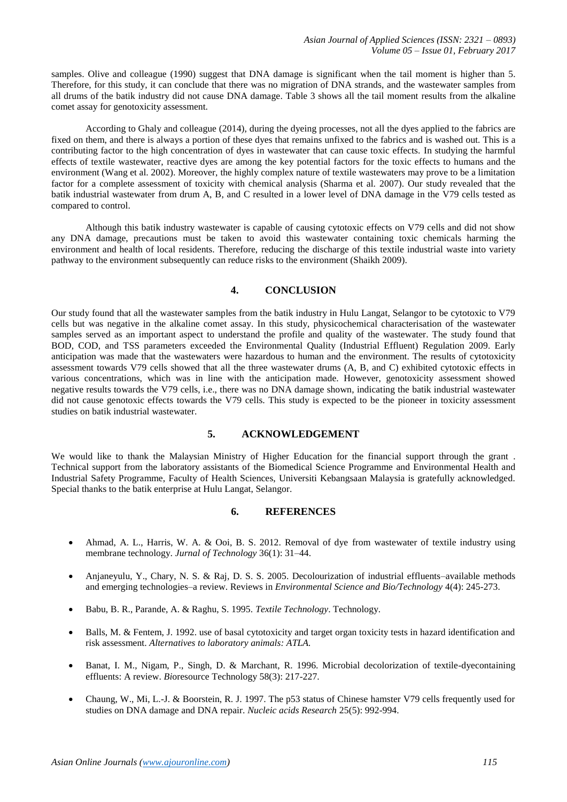samples. Olive and colleague (1990) suggest that DNA damage is significant when the tail moment is higher than 5. Therefore, for this study, it can conclude that there was no migration of DNA strands, and the wastewater samples from all drums of the batik industry did not cause DNA damage. Table 3 shows all the tail moment results from the alkaline comet assay for genotoxicity assessment.

According to Ghaly and colleague (2014), during the dyeing processes, not all the dyes applied to the fabrics are fixed on them, and there is always a portion of these dyes that remains unfixed to the fabrics and is washed out. This is a contributing factor to the high concentration of dyes in wastewater that can cause toxic effects. In studying the harmful effects of textile wastewater, reactive dyes are among the key potential factors for the toxic effects to humans and the environment (Wang et al. 2002). Moreover, the highly complex nature of textile wastewaters may prove to be a limitation factor for a complete assessment of toxicity with chemical analysis (Sharma et al. 2007). Our study revealed that the batik industrial wastewater from drum A, B, and C resulted in a lower level of DNA damage in the V79 cells tested as compared to control.

Although this batik industry wastewater is capable of causing cytotoxic effects on V79 cells and did not show any DNA damage, precautions must be taken to avoid this wastewater containing toxic chemicals harming the environment and health of local residents. Therefore, reducing the discharge of this textile industrial waste into variety pathway to the environment subsequently can reduce risks to the environment (Shaikh 2009).

## **4. CONCLUSION**

Our study found that all the wastewater samples from the batik industry in Hulu Langat, Selangor to be cytotoxic to V79 cells but was negative in the alkaline comet assay. In this study, physicochemical characterisation of the wastewater samples served as an important aspect to understand the profile and quality of the wastewater. The study found that BOD, COD, and TSS parameters exceeded the Environmental Quality (Industrial Effluent) Regulation 2009. Early anticipation was made that the wastewaters were hazardous to human and the environment. The results of cytotoxicity assessment towards V79 cells showed that all the three wastewater drums (A, B, and C) exhibited cytotoxic effects in various concentrations, which was in line with the anticipation made. However, genotoxicity assessment showed negative results towards the V79 cells, i.e., there was no DNA damage shown, indicating the batik industrial wastewater did not cause genotoxic effects towards the V79 cells. This study is expected to be the pioneer in toxicity assessment studies on batik industrial wastewater.

## **5. ACKNOWLEDGEMENT**

We would like to thank the Malaysian Ministry of Higher Education for the financial support through the grant. Technical support from the laboratory assistants of the Biomedical Science Programme and Environmental Health and Industrial Safety Programme, Faculty of Health Sciences, Universiti Kebangsaan Malaysia is gratefully acknowledged. Special thanks to the batik enterprise at Hulu Langat, Selangor.

## **6. REFERENCES**

- Ahmad, A. L., Harris, W. A. & Ooi, B. S. 2012. Removal of dye from wastewater of textile industry using membrane technology*. Jurnal of Technology* 36(1): 31–44.
- Anjaneyulu, Y., Chary, N. S. & Raj, D. S. S. 2005. Decolourization of industrial effluents–available methods and emerging technologies–a review. Reviews in *Environmental Science and Bio/Technology* 4(4): 245-273.
- Babu, B. R., Parande, A. & Raghu, S. 1995. *Textile Technology*. Technology.
- Balls, M. & Fentem, J. 1992. use of basal cytotoxicity and target organ toxicity tests in hazard identification and risk assessment. *Alternatives to laboratory animals: ATLA.*
- Banat, I. M., Nigam, P., Singh, D. & Marchant, R. 1996. Microbial decolorization of textile-dyecontaining effluents: A review. *Bi*oresource Technology 58(3): 217-227.
- Chaung, W., Mi, L.-J. & Boorstein, R. J. 1997. The p53 status of Chinese hamster V79 cells frequently used for studies on DNA damage and DNA repair. *Nucleic acids Research* 25(5): 992-994.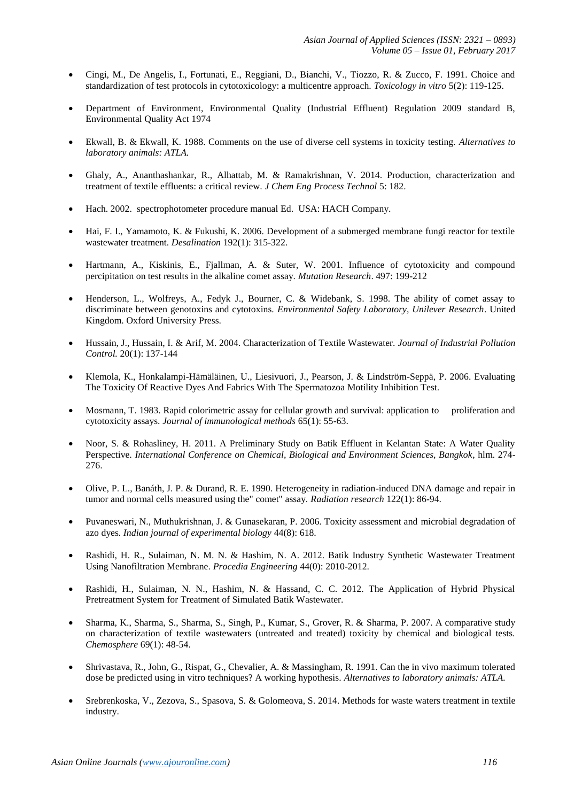- Cingi, M., De Angelis, I., Fortunati, E., Reggiani, D., Bianchi, V., Tiozzo, R. & Zucco, F. 1991. Choice and standardization of test protocols in cytotoxicology: a multicentre approach. *Toxicology in vitro* 5(2): 119-125.
- Department of Environment, Environmental Quality (Industrial Effluent) Regulation 2009 standard B, Environmental Quality Act 1974
- Ekwall, B. & Ekwall, K. 1988. Comments on the use of diverse cell systems in toxicity testing. *Alternatives to laboratory animals: ATLA.*
- Ghaly, A., Ananthashankar, R., Alhattab, M. & Ramakrishnan, V. 2014. Production, characterization and treatment of textile effluents: a critical review. *J Chem Eng Process Technol* 5: 182.
- Hach. 2002. spectrophotometer procedure manual Ed. USA: HACH Company.
- Hai, F. I., Yamamoto, K. & Fukushi, K. 2006. Development of a submerged membrane fungi reactor for textile wastewater treatment. *Desalination* 192(1): 315-322.
- Hartmann, A., Kiskinis, E., Fjallman, A. & Suter, W. 2001. Influence of cytotoxicity and compound percipitation on test results in the alkaline comet assay. *Mutation Research*. 497: 199-212
- Henderson, L., Wolfreys, A., Fedyk J., Bourner, C. & Widebank, S. 1998. The ability of comet assay to discriminate between genotoxins and cytotoxins. *Environmental Safety Laboratory, Unilever Research*. United Kingdom. Oxford University Press.
- Hussain, J., Hussain, I. & Arif, M. 2004. Characterization of Textile Wastewater. *Journal of Industrial Pollution Control.* 20(1): 137-144
- Klemola, K., Honkalampi-Hämäläinen, U., Liesivuori, J., Pearson, J. & Lindström-Seppä, P. 2006. Evaluating The Toxicity Of Reactive Dyes And Fabrics With The Spermatozoa Motility Inhibition Test.
- Mosmann, T. 1983. Rapid colorimetric assay for cellular growth and survival: application to proliferation and cytotoxicity assays. *Journal of immunological methods* 65(1): 55-63.
- Noor, S. & Rohasliney, H. 2011. A Preliminary Study on Batik Effluent in Kelantan State: A Water Quality Perspective. *International Conference on Chemical, Biological and Environment Sciences, Bangkok*, hlm. 274- 276.
- <span id="page-7-0"></span> Olive, P. L., Banáth, J. P. & Durand, R. E. 1990. Heterogeneity in radiation-induced DNA damage and repair in tumor and normal cells measured using the" comet" assay. *Radiation research* 122(1): 86-94.
- Puvaneswari, N., Muthukrishnan, J. & Gunasekaran, P. 2006. Toxicity assessment and microbial degradation of azo dyes. *Indian journal of experimental biology* 44(8): 618.
- Rashidi, H. R., Sulaiman, N. M. N. & Hashim, N. A. 2012. Batik Industry Synthetic Wastewater Treatment Using Nanofiltration Membrane. *Procedia Engineering* 44(0): 2010-2012.
- Rashidi, H., Sulaiman, N. N., Hashim, N. & Hassand, C. C. 2012. The Application of Hybrid Physical Pretreatment System for Treatment of Simulated Batik Wastewater.
- Sharma, K., Sharma, S., Sharma, S., Singh, P., Kumar, S., Grover, R. & Sharma, P. 2007. A comparative study on characterization of textile wastewaters (untreated and treated) toxicity by chemical and biological tests. *Chemosphere* 69(1): 48-54.
- Shrivastava, R., John, G., Rispat, G., Chevalier, A. & Massingham, R. 1991. Can the in vivo maximum tolerated dose be predicted using in vitro techniques? A working hypothesis. *Alternatives to laboratory animals: ATLA.*
- Srebrenkoska, V., Zezova, S., Spasova, S. & Golomeova, S. 2014. Methods for waste waters treatment in textile industry.